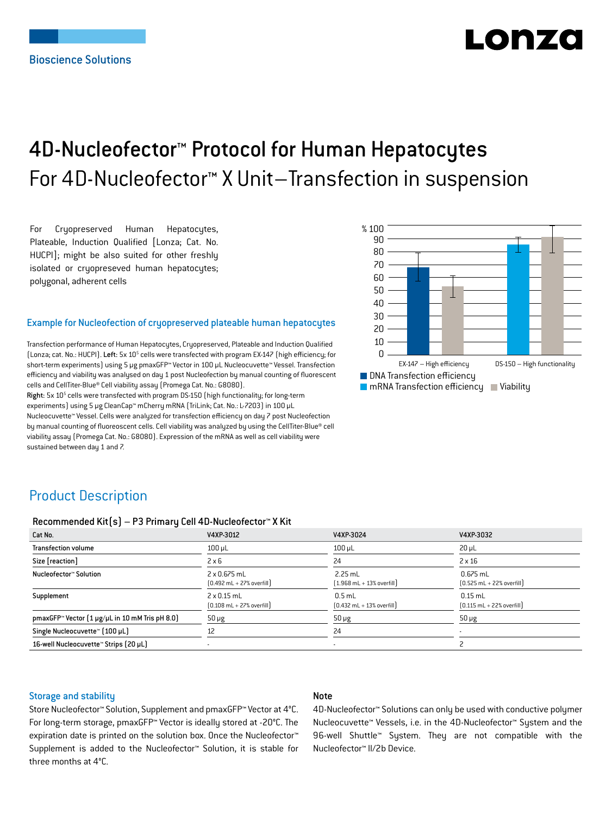# LONZ

## 4D-Nucleofector™ Protocol for Human Hepatocytes For 4D-Nucleofector™ X Unit–Transfection in suspension

For Cryopreserved Human Hepatocytes, Plateable, Induction Qualified [Lonza; Cat. No. HUCPI]; might be also suited for other freshly isolated or cryopreseved human hepatocytes; polygonal, adherent cells

#### Example for Nucleofection of cryopreserved plateable human hepatocytes

Transfection performance of Human Hepatocytes, Cryopreserved, Plateable and Induction Qualified (Lonza; cat. No.: HUCPI). Left: 5x 10<sup>5</sup> cells were transfected with program EX-147 (high efficiency; for short-term experiments) using 5 μg pmaxGFP™ Vector in 100 µL Nucleocuvette™ Vessel. Transfection efficiency and viability was analysed on day 1 post Nucleofection by manual counting of fluorescent cells and CellTiter-Blue® Cell viability assay (Promega Cat. No.: G8080).

Right: 5x 10<sup>5</sup> cells were transfected with program DS-150 (high functionality; for long-term experiments) using 5 μg CleanCap™ mCherry mRNA (TriLink; Cat. No.: L-7203) in 100 µL Nucleocuvette™ Vessel. Cells were analyzed for transfection efficiency on day 7 post Nucleofection by manual counting of fluoreoscent cells. Cell viability was analyzed by using the CellTiter-Blue® cell viability assay (Promega Cat. No.: G8080). Expression of the mRNA as well as cell viability were sustained between day 1 and 7.



## Product Description

#### Recommended Kit(s) – P3 Primary Cell 4D-Nucleofector™ X Kit

| Cat No.                                                    | V4XP-3012                                                          | V4XP-3024                                                 | V4XP-3032                                                  |
|------------------------------------------------------------|--------------------------------------------------------------------|-----------------------------------------------------------|------------------------------------------------------------|
| <b>Transfection volume</b>                                 | $100 \mu L$                                                        | $100$ $\mu$ L                                             | $20 \mu L$                                                 |
| Size [reaction]                                            | $2 \times 6$                                                       | 24                                                        | $2 \times 16$                                              |
| Nucleofector™ Solution                                     | 2 x 0.675 mL<br>$[0.492 \text{ mL} + 27\% \text{ overfill}]$       | $2.25$ mL<br>$(1.968 \text{ mL} + 13\% \text{ overfill})$ | $0.675$ mL<br>$[0.525 \text{ mL} + 22\% \text{ overfill}]$ |
| Supplement                                                 | $2 \times 0.15$ mL<br>$[0.108 \text{ mL} + 27\% \text{ overfill}]$ | $0.5$ mL<br>$[0.432 \text{ mL} + 13\% \text{ overfill}]$  | $0.15$ mL<br>$[0.115 \text{ mL} + 22\% \text{ overfill}]$  |
| pmaxGFP <sup>™</sup> Vector [1 µg/µL in 10 mM Tris pH 8.0] | $50 \mu g$                                                         | $50 \mu g$                                                | $50 \mu g$                                                 |
| Single Nucleocuvette™ (100 µL)                             | 12                                                                 | 24                                                        |                                                            |
| 16-well Nucleocuvette™ Strips (20 µL)                      |                                                                    |                                                           |                                                            |

#### Storage and stability

#### Note

Store Nucleofector™ Solution, Supplement and pmaxGFP™ Vector at 4°C. For long-term storage, pmaxGFP™ Vector is ideally stored at -20°C. The expiration date is printed on the solution box. Once the Nucleofector™ Supplement is added to the Nucleofector™ Solution, it is stable for three months at 4°C.

4D-Nucleofector™ Solutions can only be used with conductive polymer Nucleocuvette™ Vessels, i.e. in the 4D-Nucleofector™ System and the 96-well Shuttle™ System. They are not compatible with the Nucleofector™ II/2b Device.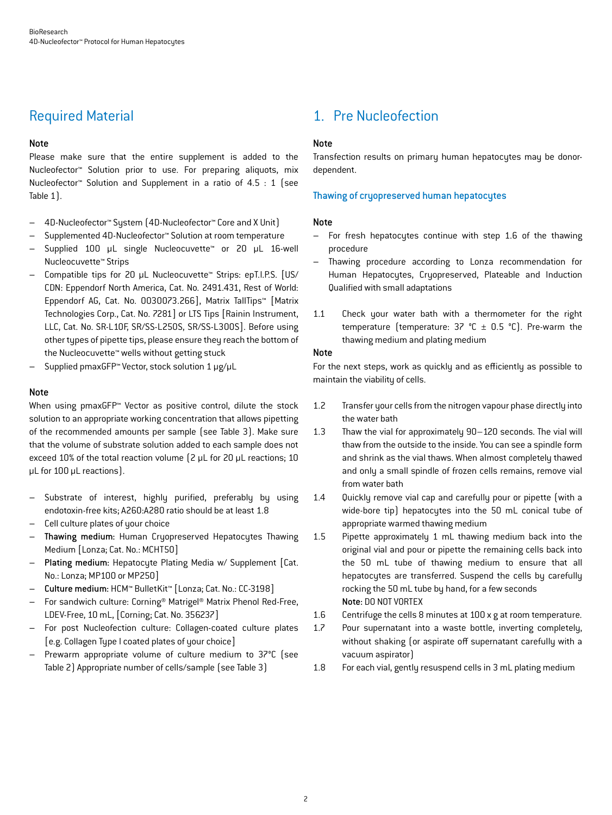## Required Material

#### Note

Please make sure that the entire supplement is added to the Nucleofector™ Solution prior to use. For preparing aliquots, mix Nucleofector™ Solution and Supplement in a ratio of 4.5 : 1 (see Table 1).

- 4D-Nucleofector™ System (4D-Nucleofector™ Core and X Unit)
- Supplemented 4D-Nucleofector™ Solution at room temperature
- Supplied 100 µL single Nucleocuvette™ or 20 µL 16-well Nucleocuvette™ Strips
- Compatible tips for 20 µL Nucleocuvette™ Strips: epT.I.P.S. [US/ CDN: Eppendorf North America, Cat. No. 2491.431, Rest of World: Eppendorf AG, Cat. No. 0030073.266], Matrix TallTips™ [Matrix Technologies Corp., Cat. No. 7281] or LTS Tips [Rainin Instrument, LLC, Cat. No. SR-L10F, SR/SS-L250S, SR/SS-L300S]. Before using other types of pipette tips, please ensure they reach the bottom of the Nucleocuvette™ wells without getting stuck
- Supplied pmaxGFP™ Vector, stock solution 1 μg/µL

#### **Note**

When using pmaxGFP<sup>™</sup> Vector as positive control, dilute the stock solution to an appropriate working concentration that allows pipetting of the recommended amounts per sample (see Table 3). Make sure that the volume of substrate solution added to each sample does not exceed 10% of the total reaction volume (2 µL for 20 µL reactions; 10 µL for 100 µL reactions).

- Substrate of interest, highly purified, preferably by using endotoxin-free kits; A260:A280 ratio should be at least 1.8
- Cell culture plates of your choice
- Thawing medium: Human Cryopreserved Hepatocytes Thawing Medium [Lonza; Cat. No.: MCHT50]
- Plating medium: Hepatocyte Plating Media w/ Supplement [Cat. No.: Lonza; MP100 or MP250]
- Culture medium: HCM™ BulletKit™ [Lonza; Cat. No.: CC-3198]
- For sandwich culture: Corning® Matrigel® Matrix Phenol Red-Free, LDEV-Free, 10 mL, [Corning; Cat. No. 356237]
- For post Nucleofection culture: Collagen-coated culture plates [e.g. Collagen Type I coated plates of your choice]
- Prewarm appropriate volume of culture medium to 37°C (see Table 2) Appropriate number of cells/sample (see Table 3)

## 1. Pre Nucleofection

#### Note

Transfection results on primary human hepatocytes may be donordependent.

#### Thawing of cryopreserved human hepatocytes

#### Note

- For fresh hepatocytes continue with step 1.6 of the thawing procedure
- Thawing procedure according to Lonza recommendation for Human Hepatocytes, Cryopreserved, Plateable and Induction Qualified with small adaptations
- 1.1 Check your water bath with a thermometer for the right temperature (temperature:  $37 °C \pm 0.5 °C$ ). Pre-warm the thawing medium and plating medium

#### Note

For the next steps, work as quickly and as efficiently as possible to maintain the viability of cells.

- 1.2 Transfer your cells from the nitrogen vapour phase directly into the water bath
- 1.3 Thaw the vial for approximately 90–120 seconds. The vial will thaw from the outside to the inside. You can see a spindle form and shrink as the vial thaws. When almost completely thawed and only a small spindle of frozen cells remains, remove vial from water bath
- 1.4 Quickly remove vial cap and carefully pour or pipette (with a wide-bore tip) hepatocytes into the 50 mL conical tube of appropriate warmed thawing medium
- 1.5 Pipette approximately 1 mL thawing medium back into the original vial and pour or pipette the remaining cells back into the 50 mL tube of thawing medium to ensure that all hepatocytes are transferred. Suspend the cells by carefully rocking the 50 mL tube by hand, for a few seconds Note: DO NOT VORTEX
- 1.6 Centrifuge the cells 8 minutes at 100 x g at room temperature.
- 1.7 Pour supernatant into a waste bottle, inverting completely, without shaking (or aspirate off supernatant carefully with a vacuum aspirator)
- 1.8 For each vial, gently resuspend cells in 3 mL plating medium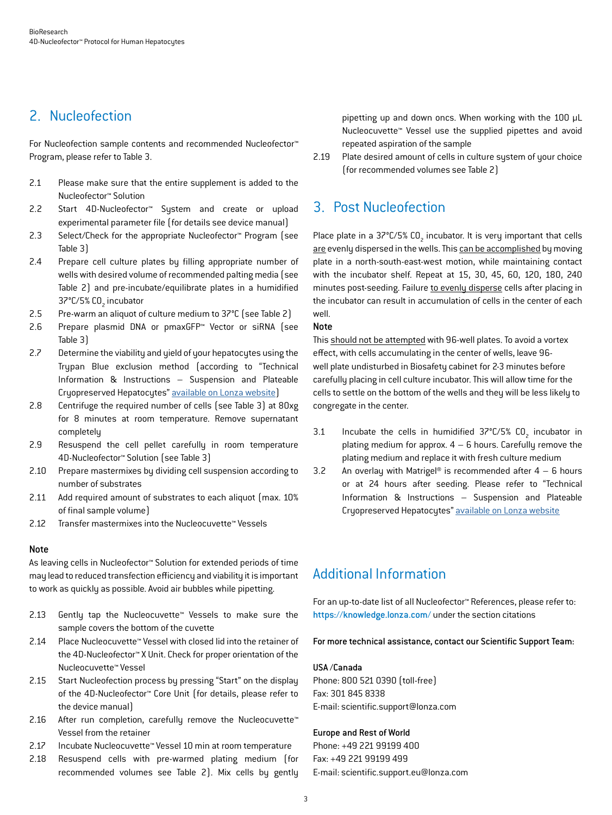## 2. Nucleofection

For Nucleofection sample contents and recommended Nucleofector™ Program, please refer to Table 3.

- 2.1 Please make sure that the entire supplement is added to the Nucleofector™ Solution
- 2.2 Start 4D-Nucleofector™ System and create or upload experimental parameter file (for details see device manual)
- 2.3 Select/Check for the appropriate Nucleofector™ Program (see Table 3)
- 2.4 Prepare cell culture plates by filling appropriate number of wells with desired volume of recommended palting media (see Table 2) and pre-incubate/equilibrate plates in a humidified 37°C/5% CO<sub>2</sub> incubator
- 2.5 Pre-warm an aliquot of culture medium to 37°C (see Table 2)
- 2.6 Prepare plasmid DNA or pmaxGFP™ Vector or siRNA (see Table 3)
- 2.7 Determine the viability and yield of your hepatocytes using the Trypan Blue exclusion method (according to "Technical Information & Instructions – Suspension and Plateable Cryopreserved Hepatocytes" [available on Lonza website](https://bioscience.lonza.com/lonza_bs/CH/en/download/product/asset/29887))
- 2.8 Centrifuge the required number of cells (see Table 3) at 80xg for 8 minutes at room temperature. Remove supernatant completely
- 2.9 Resuspend the cell pellet carefully in room temperature 4D-Nucleofector™ Solution (see Table 3)
- 2.10 Prepare mastermixes by dividing cell suspension according to number of substrates
- 2.11 Add required amount of substrates to each aliquot (max. 10% of final sample volume)
- 2.12 Transfer mastermixes into the Nucleocuvette™ Vessels

#### Note

As leaving cells in Nucleofector™ Solution for extended periods of time may lead to reduced transfection efficiency and viability it is important to work as quickly as possible. Avoid air bubbles while pipetting.

- 2.13 Gently tap the Nucleocuvette™ Vessels to make sure the sample covers the bottom of the cuvette
- 2.14 Place Nucleocuvette™ Vessel with closed lid into the retainer of the 4D-Nucleofector™ X Unit. Check for proper orientation of the Nucleocuvette™ Vessel
- 2.15 Start Nucleofection process by pressing "Start" on the display of the 4D-Nucleofector™ Core Unit (for details, please refer to the device manual)
- 2.16 After run completion, carefully remove the Nucleocuvette™ Vessel from the retainer
- 2.17 Incubate Nucleocuvette™ Vessel 10 min at room temperature
- 2.18 Resuspend cells with pre-warmed plating medium (for recommended volumes see Table 2). Mix cells by gently

pipetting up and down oncs. When working with the 100 µL Nucleocuvette™ Vessel use the supplied pipettes and avoid repeated aspiration of the sample

2.19 Plate desired amount of cells in culture system of your choice (for recommended volumes see Table 2)

## 3. Post Nucleofection

Place plate in a 37°C/5%  $\textsf{CO}_2$  incubator. It is very important that cells are evenly dispersed in the wells. This can be accomplished by moving plate in a north-south-east-west motion, while maintaining contact with the incubator shelf. Repeat at 15, 30, 45, 60, 120, 180, 240 minutes post-seeding. Failure to evenly disperse cells after placing in the incubator can result in accumulation of cells in the center of each well.

#### Note

This should not be attempted with 96-well plates. To avoid a vortex effect, with cells accumulating in the center of wells, leave 96 well plate undisturbed in Biosafety cabinet for 2-3 minutes before carefully placing in cell culture incubator. This will allow time for the cells to settle on the bottom of the wells and they will be less likely to congregate in the center.

- 3.1 Incubate the cells in humidified  $37^{\circ}$ C/5% CO<sub>2</sub> incubator in plating medium for approx.  $4 - 6$  hours. Carefully remove the plating medium and replace it with fresh culture medium
- 3.2 An overlay with Matrigel<sup>®</sup> is recommended after  $4 6$  hours or at 24 hours after seeding. Please refer to "Technical Information & Instructions – Suspension and Plateable Cryopreserved Hepatocytes" [available on Lonza website](https://bioscience.lonza.com/lonza_bs/CH/en/download/product/asset/29887)

## Additional Information

For an up-to-date list of all Nucleofector™ References, please refer to: https://knowledge.lonza.com/ under the section citations

#### For more technical assistance, contact our Scientific Support Team:

#### USA /Canada

Phone: 800 521 0390 (toll-free) Fax: 301 845 8338 E-mail: scientific.support@lonza.com

#### Europe and Rest of World

Phone: +49 221 99199 400 Fax: +49 221 99199 499 E-mail: scientific.support.eu@lonza.com